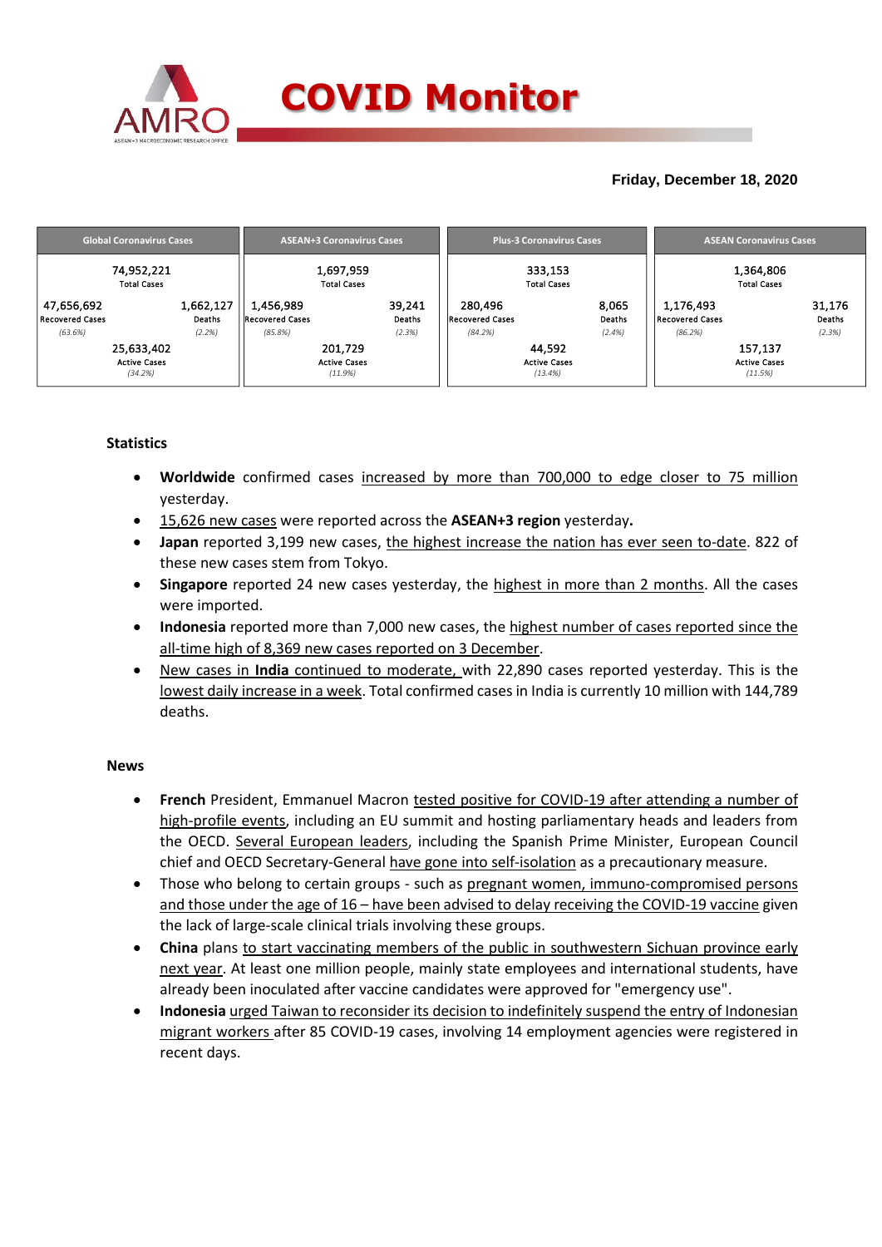

## **Friday, December 18, 2020**

| <b>Global Coronavirus Cases</b> | <b>ASEAN+3 Coronavirus Cases</b> | <b>Plus-3 Coronavirus Cases</b> | <b>ASEAN Coronavirus Cases</b> |  |  |
|---------------------------------|----------------------------------|---------------------------------|--------------------------------|--|--|
| 74,952,221                      | 1,697,959                        | 333,153                         | 1,364,806                      |  |  |
| <b>Total Cases</b>              | <b>Total Cases</b>               | <b>Total Cases</b>              | <b>Total Cases</b>             |  |  |
| 1,662,127                       | 1,456,989                        | 280.496                         | 1,176,493                      |  |  |
| 47,656,692                      | 39,241                           | 8,065                           | 31,176                         |  |  |
| Recovered Cases                 | <b>Recovered Cases</b>           | <b>Recovered Cases</b>          | Recovered Cases                |  |  |
| Deaths                          | Deaths                           | Deaths                          | Deaths                         |  |  |
| (2.2%)                          | (85.8%)                          | (84.2%)                         | (2.3%)                         |  |  |
| (63.6%)                         | (2.3%)                           | (2.4%)                          | (86.2%)                        |  |  |
| 25,633,402                      | 201,729                          | 44.592                          | 157,137                        |  |  |
| <b>Active Cases</b>             | <b>Active Cases</b>              | <b>Active Cases</b>             | <b>Active Cases</b>            |  |  |
| (34.2%)                         | (11.9%)                          | (13.4%)                         | (11.5%)                        |  |  |

### **Statistics**

- **Worldwide** confirmed cases increased by more than 700,000 to edge closer to 75 million yesterday.
- 15,626 new cases were reported across the **ASEAN+3 region** yesterday**.**
- **Japan** reported 3,199 new cases, the highest increase the nation has ever seen to-date. 822 of these new cases stem from Tokyo.
- **Singapore** reported 24 new cases yesterday, the highest in more than 2 months. All the cases were imported.
- **Indonesia** reported more than 7,000 new cases, the highest number of cases reported since the all-time high of 8,369 new cases reported on 3 December.
- New cases in **India** continued to moderate, with 22,890 cases reported yesterday. This is the lowest daily increase in a week. Total confirmed cases in India is currently 10 million with 144,789 deaths.

### **News**

- **French** President, Emmanuel Macron tested positive for COVID-19 after attending a number of high-profile events, including an EU summit and hosting parliamentary heads and leaders from the OECD. Several European leaders, including the Spanish Prime Minister, European Council chief and OECD Secretary-General have gone into self-isolation as a precautionary measure.
- Those who belong to certain groups such as pregnant women, immuno-compromised persons and those under the age of 16 – have been advised to delay receiving the COVID-19 vaccine given the lack of large-scale clinical trials involving these groups.
- **China** plans to start vaccinating members of the public in southwestern Sichuan province early next year. At least one million people, mainly state employees and international students, have already been inoculated after vaccine candidates were approved for "emergency use".
- **Indonesia** urged Taiwan to reconsider its decision to indefinitely suspend the entry of Indonesian migrant workers after 85 COVID-19 cases, involving 14 employment agencies were registered in recent days.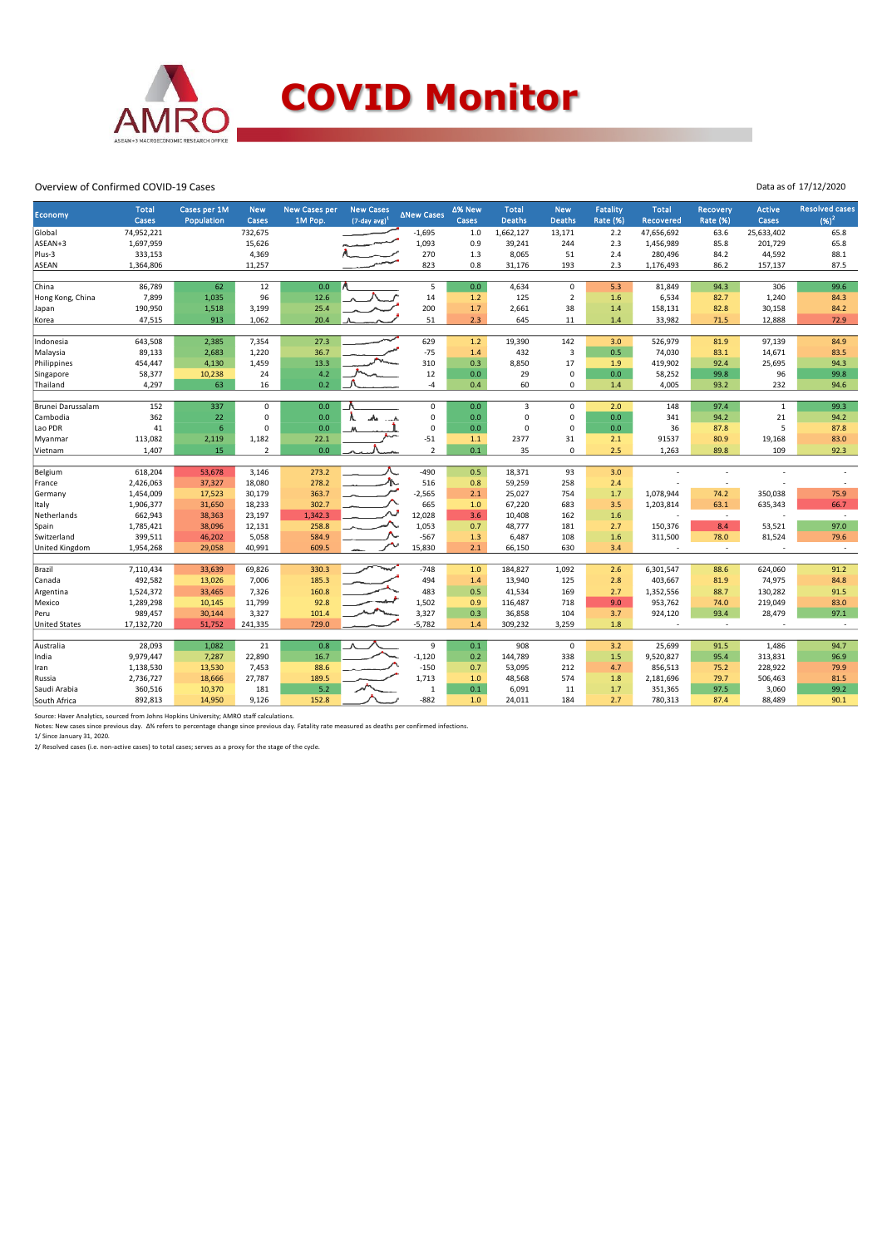

#### Overview of Confirmed COVID-19 Cases

| Economy               | <b>Total</b><br>Cases | Cases per 1M<br>Population | <b>New</b><br>Cases        | <b>New Cases per</b><br>1M Pop. | <b>New Cases</b><br>$(7$ -day avg) <sup>1</sup> | ∆New Cases     | ∆% New<br>Cases | <b>Total</b><br><b>Deaths</b> | <b>New</b><br><b>Deaths</b> | <b>Fatality</b><br>Rate (%) | <b>Total</b><br><b>Recovered</b> | <b>Recovery</b><br><b>Rate (%)</b> | Active<br>Cases          | <b>Resolved cases</b><br>$(96)^2$ |
|-----------------------|-----------------------|----------------------------|----------------------------|---------------------------------|-------------------------------------------------|----------------|-----------------|-------------------------------|-----------------------------|-----------------------------|----------------------------------|------------------------------------|--------------------------|-----------------------------------|
| Global                | 74,952,221            |                            | 732,675                    |                                 |                                                 | $-1,695$       | $1.0$           | 1,662,127                     | 13,171                      | 2.2                         | 47,656,692                       | 63.6                               | 25,633,402               | 65.8                              |
| ASEAN+3               | 1,697,959             |                            | 15,626                     |                                 |                                                 | 1,093          | 0.9             | 39,241                        | 244                         | 2.3                         | 1,456,989                        | 85.8                               | 201,729                  | 65.8                              |
| Plus-3                | 333,153               |                            | 4,369                      |                                 |                                                 | 270            | 1.3             | 8,065                         | 51                          | 2.4                         | 280,496                          | 84.2                               | 44,592                   | 88.1                              |
| <b>ASEAN</b>          | 1,364,806             |                            | 11,257                     |                                 |                                                 | 823            | 0.8             | 31,176                        | 193                         | 2.3                         | 1,176,493                        | 86.2                               | 157,137                  | 87.5                              |
|                       |                       |                            |                            |                                 |                                                 |                |                 |                               |                             |                             |                                  |                                    |                          |                                   |
| China                 | 86,789                | 62                         | 12                         | 0.0                             |                                                 | 5              | 0.0             | 4,634                         | $\mathbf 0$                 | 5.3                         | 81,849                           | 94.3                               | 306                      | 99.6                              |
| Hong Kong, China      | 7,899                 | 1,035                      | 96                         | 12.6                            |                                                 | 14             | 1.2             | 125                           | $\overline{2}$              | 1.6                         | 6,534                            | 82.7                               | 1,240                    | 84.3                              |
| Japan                 | 190,950               | 1,518                      | 3,199                      | 25.4                            |                                                 | 200            | 1.7             | 2,661                         | 38                          | 1.4                         | 158,131                          | 82.8                               | 30,158                   | 84.2                              |
| Korea                 | 47,515                | 913                        | 1,062                      | 20.4                            |                                                 | 51             | 2.3             | 645                           | 11                          | 1.4                         | 33,982                           | 71.5                               | 12,888                   | 72.9                              |
|                       |                       |                            |                            |                                 |                                                 |                |                 |                               |                             |                             |                                  |                                    |                          |                                   |
| Indonesia             | 643,508               | 2,385                      | 7,354                      | 27.3                            |                                                 | 629            | 1.2             | 19,390                        | 142                         | 3.0                         | 526,979                          | 81.9                               | 97,139                   | 84.9                              |
| Malaysia              | 89,133                | 2,683                      | 1,220                      | 36.7                            |                                                 | $-75$          | 1.4             | 432                           | $\overline{3}$              | 0.5                         | 74,030                           | 83.1                               | 14,671                   | 83.5                              |
| Philippines           | 454,447               | 4,130                      | 1,459                      | 13.3                            |                                                 | 310            | 0.3             | 8,850                         | 17                          | 1.9                         | 419,902                          | 92.4                               | 25,695                   | 94.3                              |
| Singapore             | 58,377                | 10,238                     | 24                         | 4.2                             |                                                 | 12             | 0.0             | 29                            | $\pmb{0}$                   | 0.0                         | 58,252                           | 99.8                               | 96                       | 99.8                              |
| Thailand              | 4,297                 | 63                         | 16                         | 0.2                             |                                                 | $-4$           | 0.4             | 60                            | 0                           | 1.4                         | 4,005                            | 93.2                               | 232                      | 94.6                              |
|                       |                       |                            |                            |                                 |                                                 | $\mathbf 0$    |                 |                               |                             |                             |                                  |                                    |                          |                                   |
| Brunei Darussalam     | 152<br>362            | 337                        | $\mathbf 0$<br>$\mathbf 0$ | 0.0<br>0.0                      |                                                 | 0              | 0.0             | 3<br>$\mathbf 0$              | $\mathbf 0$<br>$\mathbf 0$  | 2.0                         | 148                              | 97.4                               | $\mathbf{1}$<br>21       | 99.3                              |
| Cambodia              |                       | 22                         |                            |                                 |                                                 |                | 0.0             |                               |                             | 0.0                         | 341                              | 94.2                               |                          | 94.2                              |
| Lao PDR               | 41                    | $6\phantom{1}$             | 0                          | 0.0                             |                                                 | $\mathbf 0$    | $0.0\,$         | $\mathbf 0$                   | $\mathbf 0$                 | 0.0                         | 36                               | 87.8                               | 5                        | 87.8                              |
| Myanmar               | 113,082               | 2,119                      | 1,182                      | 22.1                            |                                                 | $-51$          | 1.1             | 2377                          | 31                          | 2.1                         | 91537                            | 80.9                               | 19,168                   | 83.0                              |
| Vietnam               | 1,407                 | 15                         | $\overline{2}$             | 0.0                             |                                                 | $\overline{2}$ | 0.1             | 35                            | $\mathbf 0$                 | 2.5                         | 1,263                            | 89.8                               | 109                      | 92.3                              |
| Belgium               | 618,204               | 53,678                     | 3,146                      | 273.2                           |                                                 | $-490$         | 0.5             | 18,371                        | 93                          | 3.0                         |                                  |                                    |                          |                                   |
| France                | 2,426,063             | 37,327                     | 18,080                     | 278.2                           |                                                 | 516            | 0.8             | 59,259                        | 258                         | 2.4                         |                                  | $\overline{a}$                     |                          |                                   |
| Germany               | 1,454,009             | 17,523                     | 30,179                     | 363.7                           |                                                 | $-2,565$       | 2.1             | 25,027                        | 754                         | 1.7                         | 1,078,944                        | 74.2                               | 350,038                  | 75.9                              |
| Italy                 | 1,906,377             | 31,650                     | 18,233                     | 302.7                           |                                                 | 665            | 1.0             | 67,220                        | 683                         | 3.5                         | 1,203,814                        | 63.1                               | 635,343                  | 66.7                              |
| Netherlands           | 662,943               | 38,363                     | 23,197                     | 1,342.3                         |                                                 | 12,028         | 3.6             | 10,408                        | 162                         | 1.6                         |                                  | $\sim$                             |                          | $\overline{\phantom{a}}$          |
| Spain                 | 1,785,421             | 38,096                     | 12,131                     | 258.8                           |                                                 | 1,053          | 0.7             | 48,777                        | 181                         | 2.7                         | 150,376                          | 8.4                                | 53,521                   | 97.0                              |
| Switzerland           | 399,511               | 46,202                     | 5,058                      | 584.9                           |                                                 | $-567$         | 1.3             | 6,487                         | 108                         | 1.6                         | 311,500                          | 78.0                               | 81,524                   | 79.6                              |
| <b>United Kingdom</b> | 1,954,268             | 29,058                     | 40,991                     | 609.5                           |                                                 | 15,830         | 2.1             | 66,150                        | 630                         | 3.4                         | ×,                               | $\overline{\phantom{a}}$           |                          | $\overline{\phantom{a}}$          |
|                       |                       |                            |                            |                                 |                                                 |                |                 |                               |                             |                             |                                  |                                    |                          |                                   |
| Brazil                | 7,110,434             | 33,639                     | 69,826                     | 330.3                           |                                                 | $-748$         | 1.0             | 184,827                       | 1,092                       | 2.6                         | 6,301,547                        | 88.6                               | 624,060                  | 91.2                              |
| Canada                | 492,582               | 13,026                     | 7,006                      | 185.3                           |                                                 | 494            | 1.4             | 13,940                        | 125                         | 2.8                         | 403,667                          | 81.9                               | 74,975                   | 84.8                              |
| Argentina             | 1,524,372             | 33,465                     | 7,326                      | 160.8                           |                                                 | 483            | 0.5             | 41,534                        | 169                         | 2.7                         | 1,352,556                        | 88.7                               | 130,282                  | 91.5                              |
| Mexico                | 1,289,298             | 10,145                     | 11,799                     | 92.8                            |                                                 | 1,502          | 0.9             | 116,487                       | 718                         | 9.0                         | 953,762                          | 74.0                               | 219,049                  | 83.0                              |
| Peru                  | 989,457               | 30,144                     | 3,327                      | 101.4                           |                                                 | 3,327          | 0.3             | 36,858                        | 104                         | 3.7                         | 924,120                          | 93.4                               | 28,479                   | 97.1                              |
| <b>United States</b>  | 17,132,720            | 51,752                     | 241,335                    | 729.0                           |                                                 | $-5,782$       | 1.4             | 309,232                       | 3,259                       | 1.8                         | $\sim$                           | $\sim$                             | $\overline{\phantom{a}}$ | $\sim$                            |
|                       |                       |                            |                            |                                 |                                                 |                |                 |                               |                             |                             |                                  |                                    |                          |                                   |
| Australia             | 28,093                | 1,082                      | 21                         | 0.8                             |                                                 | 9              | 0.1             | 908                           | $\mathbf 0$                 | 3.2                         | 25,699                           | 91.5                               | 1,486                    | 94.7                              |
| India                 | 9,979,447             | 7,287                      | 22,890                     | 16.7                            |                                                 | $-1,120$       | 0.2             | 144,789                       | 338                         | 1.5                         | 9,520,827                        | 95.4                               | 313,831                  | 96.9                              |
| Iran                  | 1,138,530             | 13,530                     | 7,453                      | 88.6                            |                                                 | $-150$         | 0.7             | 53,095                        | 212                         | 4.7                         | 856,513                          | 75.2                               | 228,922                  | 79.9                              |
| Russia                | 2,736,727             | 18,666                     | 27,787                     | 189.5                           |                                                 | 1,713          | 1.0             | 48,568                        | 574                         | 1.8                         | 2,181,696                        | 79.7                               | 506,463                  | 81.5                              |
| Saudi Arabia          | 360,516               | 10,370                     | 181                        | 5.2                             |                                                 | $\mathbf{1}$   | 0.1             | 6,091                         | 11                          | 1.7                         | 351,365                          | 97.5                               | 3,060                    | 99.2                              |
| South Africa          | 892,813               | 14,950                     | 9,126                      | 152.8                           |                                                 | $-882$         | 1.0             | 24,011                        | 184                         | 2.7                         | 780,313                          | 87.4                               | 88,489                   | 90.1                              |

Source: Haver Analytics, sourced from Johns Hopkins University; AMRO staff calculations.<br>Notes: New cases since previous day. A% refers to percentage change since previous day. Fatality rate measured as deaths per confirme

2/ Resolved cases (i.e. non-active cases) to total cases; serves as a proxy for the stage of the cycle.

Data as of 17/12/2020